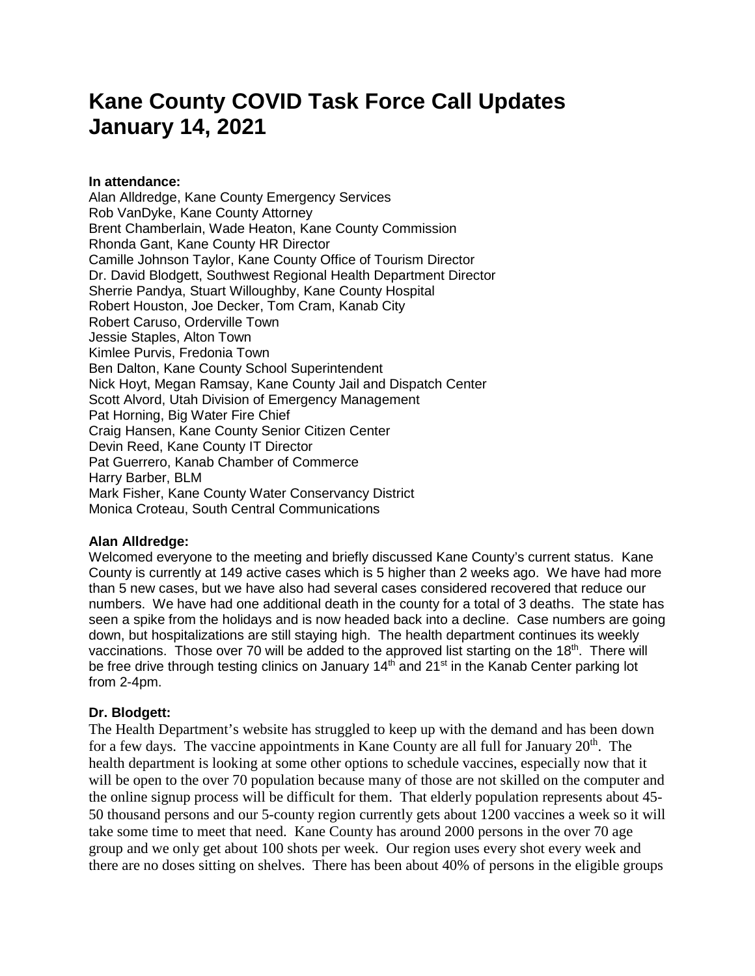# **Kane County COVID Task Force Call Updates January 14, 2021**

## **In attendance:**

Alan Alldredge, Kane County Emergency Services Rob VanDyke, Kane County Attorney Brent Chamberlain, Wade Heaton, Kane County Commission Rhonda Gant, Kane County HR Director Camille Johnson Taylor, Kane County Office of Tourism Director Dr. David Blodgett, Southwest Regional Health Department Director Sherrie Pandya, Stuart Willoughby, Kane County Hospital Robert Houston, Joe Decker, Tom Cram, Kanab City Robert Caruso, Orderville Town Jessie Staples, Alton Town Kimlee Purvis, Fredonia Town Ben Dalton, Kane County School Superintendent Nick Hoyt, Megan Ramsay, Kane County Jail and Dispatch Center Scott Alvord, Utah Division of Emergency Management Pat Horning, Big Water Fire Chief Craig Hansen, Kane County Senior Citizen Center Devin Reed, Kane County IT Director Pat Guerrero, Kanab Chamber of Commerce Harry Barber, BLM Mark Fisher, Kane County Water Conservancy District Monica Croteau, South Central Communications

# **Alan Alldredge:**

Welcomed everyone to the meeting and briefly discussed Kane County's current status. Kane County is currently at 149 active cases which is 5 higher than 2 weeks ago. We have had more than 5 new cases, but we have also had several cases considered recovered that reduce our numbers. We have had one additional death in the county for a total of 3 deaths. The state has seen a spike from the holidays and is now headed back into a decline. Case numbers are going down, but hospitalizations are still staying high. The health department continues its weekly vaccinations. Those over 70 will be added to the approved list starting on the 18<sup>th</sup>. There will be free drive through testing clinics on January  $14<sup>th</sup>$  and  $21<sup>st</sup>$  in the Kanab Center parking lot from 2-4pm.

# **Dr. Blodgett:**

The Health Department's website has struggled to keep up with the demand and has been down for a few days. The vaccine appointments in Kane County are all full for January  $20<sup>th</sup>$ . The health department is looking at some other options to schedule vaccines, especially now that it will be open to the over 70 population because many of those are not skilled on the computer and the online signup process will be difficult for them. That elderly population represents about 45- 50 thousand persons and our 5-county region currently gets about 1200 vaccines a week so it will take some time to meet that need. Kane County has around 2000 persons in the over 70 age group and we only get about 100 shots per week. Our region uses every shot every week and there are no doses sitting on shelves. There has been about 40% of persons in the eligible groups